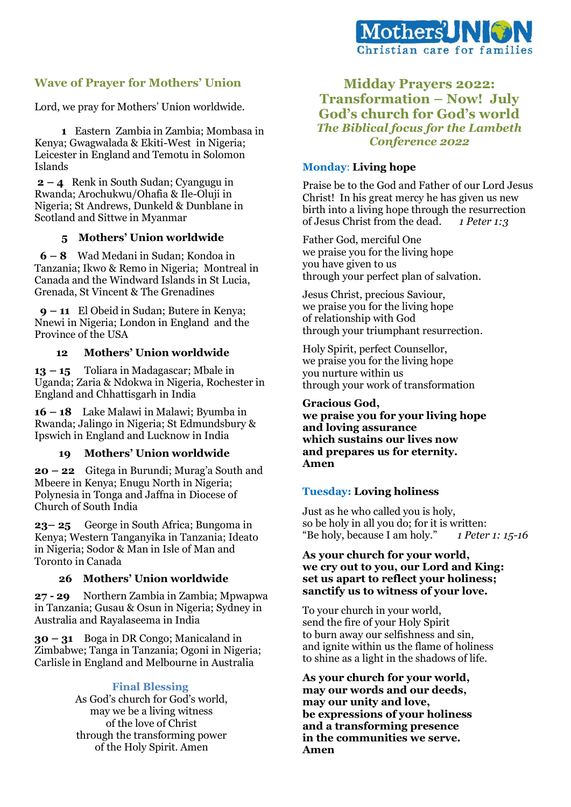

# **Wave of Prayer for Mothers' Union**

Lord, we pray for Mothers' Union worldwide.

 **1** Eastern Zambia in Zambia; Mombasa in Kenya; Gwagwalada & Ekiti-West in Nigeria; Leicester in England and Temotu in Solomon Islands

**2 – 4** Renk in South Sudan; Cyangugu in Rwanda; Arochukwu/Ohafia & Ile-Oluji in Nigeria; St Andrews, Dunkeld & Dunblane in Scotland and Sittwe in Myanmar

## **5 Mothers' Union worldwide**

 **6 – 8** Wad Medani in Sudan; Kondoa in Tanzania; Ikwo & Remo in Nigeria; Montreal in Canada and the Windward Islands in St Lucia, Grenada, St Vincent & The Grenadines

 **9 – 11** El Obeid in Sudan; Butere in Kenya; Nnewi in Nigeria; London in England and the Province of the USA

### **12 Mothers' Union worldwide**

**13 – 15** Toliara in Madagascar; Mbale in Uganda; Zaria & Ndokwa in Nigeria, Rochester in England and Chhattisgarh in India

**16 – 18** Lake Malawi in Malawi; Byumba in Rwanda; Jalingo in Nigeria; St Edmundsbury & Ipswich in England and Lucknow in India

### **19 Mothers' Union worldwide**

**20 – 22** Gitega in Burundi; Murag'a South and Mbeere in Kenya; Enugu North in Nigeria; Polynesia in Tonga and Jaffna in Diocese of Church of South India

**23– 25** George in South Africa; Bungoma in Kenya; Western Tanganyika in Tanzania; Ideato in Nigeria; Sodor & Man in Isle of Man and Toronto in Canada

### **26 Mothers' Union worldwide**

**27 - 29** Northern Zambia in Zambia; Mpwapwa in Tanzania; Gusau & Osun in Nigeria; Sydney in Australia and Rayalaseema in India

**30 – 31** Boga in DR Congo; Manicaland in Zimbabwe; Tanga in Tanzania; Ogoni in Nigeria; Carlisle in England and Melbourne in Australia

### **Final Blessing**

As God's church for God's world, may we be a living witness of the love of Christ through the transforming power of the Holy Spirit. Amen

**Midday Prayers 2022: Transformation – Now! July God's church for God's world** *The Biblical focus for the Lambeth Conference 2022*

## **Monday**: **Living hope**

Praise be to the God and Father of our Lord Jesus Christ! In his great mercy he has given us new birth into a living hope through the resurrection of Jesus Christ from the dead. *1 Peter 1:3*

Father God, merciful One we praise you for the living hope you have given to us through your perfect plan of salvation.

Jesus Christ, precious Saviour, we praise you for the living hope of relationship with God through your triumphant resurrection.

Holy Spirit, perfect Counsellor, we praise you for the living hope you nurture within us through your work of transformation

**Gracious God, we praise you for your living hope and loving assurance which sustains our lives now and prepares us for eternity. Amen** 

## **Tuesday: Loving holiness**

Just as he who called you is holy, so be holy in all you do; for it is written: "Be holy, because I am holy." *1 Peter 1: 15-16*

## **As your church for your world, we cry out to you, our Lord and King: set us apart to reflect your holiness; sanctify us to witness of your love.**

To your church in your world, send the fire of your Holy Spirit to burn away our selfishness and sin, and ignite within us the flame of holiness to shine as a light in the shadows of life.

**As your church for your world, may our words and our deeds, may our unity and love, be expressions of your holiness and a transforming presence in the communities we serve. Amen**